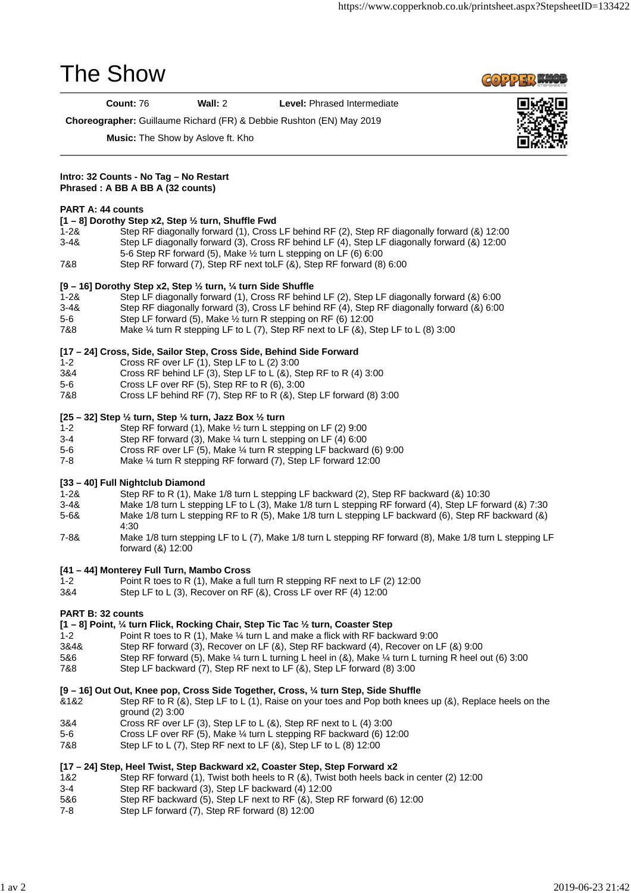# The Show

**COPPER WOOD** 

**Count:** 76 **Wall:** 2 **Level:** Phrased Intermediate

**Choreographer:** Guillaume Richard (FR) & Debbie Rushton (EN) May 2019



**Music:** The Show by Aslove ft. Kho

#### **Intro: 32 Counts - No Tag – No Restart Phrased : A BB A BB A (32 counts)**

### **PART A: 44 counts**

#### **[1 – 8] Dorothy Step x2, Step ½ turn, Shuffle Fwd**

- 1-2& Step RF diagonally forward (1), Cross LF behind RF (2), Step RF diagonally forward (&) 12:00 3-4& Step LF diagonally forward (3), Cross RF behind LF (4), Step LF diagonally forward (&) 12:00 5-6 Step RF forward (5), Make ½ turn L stepping on LF (6) 6:00
- 7&8 Step RF forward (7), Step RF next toLF (&), Step RF forward (8) 6:00

#### **[9 – 16] Dorothy Step x2, Step ½ turn, ¼ turn Side Shuffle**

- 1-2& Step LF diagonally forward (1), Cross RF behind LF (2), Step LF diagonally forward (&) 6:00
- 3-4& Step RF diagonally forward (3), Cross LF behind RF (4), Step RF diagonally forward (&) 6:00
- 5-6 Step LF forward (5), Make ½ turn R stepping on RF (6) 12:00
- 7&8 Make ¼ turn R stepping LF to L (7), Step RF next to LF (&), Step LF to L (8) 3:00

## **[17 – 24] Cross, Side, Sailor Step, Cross Side, Behind Side Forward**

- 1-2 Cross RF over LF (1), Step LF to L (2) 3:00
- 3&4 Cross RF behind LF (3), Step LF to L (&), Step RF to R (4) 3:00
- 5-6 Cross LF over RF (5), Step RF to R (6), 3:00
- 7&8 Cross LF behind RF (7), Step RF to R (&), Step LF forward (8) 3:00

#### **[25 – 32] Step ½ turn, Step ¼ turn, Jazz Box ½ turn**

- 1-2 Step RF forward (1), Make ½ turn L stepping on LF (2) 9:00
- 3-4 Step RF forward (3), Make ¼ turn L stepping on LF (4) 6:00
- 5-6 Cross RF over LF (5), Make ¼ turn R stepping LF backward (6) 9:00
- 7-8 Make ¼ turn R stepping RF forward (7), Step LF forward 12:00

#### **[33 – 40] Full Nightclub Diamond**

- 1-2& Step RF to R (1), Make 1/8 turn L stepping LF backward (2), Step RF backward (&) 10:30
- 3-4& Make 1/8 turn L stepping LF to L (3), Make 1/8 turn L stepping RF forward (4), Step LF forward (&) 7:30 5-6& Make 1/8 turn L stepping RF to R (5), Make 1/8 turn L stepping LF backward (6), Step RF backward (&) 4:30
- 7-8& Make 1/8 turn stepping LF to L (7), Make 1/8 turn L stepping RF forward (8), Make 1/8 turn L stepping LF forward (&) 12:00

### **[41 – 44] Monterey Full Turn, Mambo Cross**

- 1-2 Point R toes to R (1), Make a full turn R stepping RF next to LF (2) 12:00
- 3&4 Step LF to L (3), Recover on RF (&), Cross LF over RF (4) 12:00

### **PART B: 32 counts**

#### **[1 – 8] Point, ¼ turn Flick, Rocking Chair, Step Tic Tac ½ turn, Coaster Step**

- 1-2 Point R toes to R (1), Make ¼ turn L and make a flick with RF backward 9:00
- 3&4& Step RF forward (3), Recover on LF (&), Step RF backward (4), Recover on LF (&) 9:00
- 5&6 Step RF forward (5), Make ¼ turn L turning L heel in (&), Make ¼ turn L turning R heel out (6) 3:00
- 7&8 Step LF backward (7), Step RF next to LF (&), Step LF forward (8) 3:00

### **[9 – 16] Out Out, Knee pop, Cross Side Together, Cross, ¼ turn Step, Side Shuffle**

- &1&2 Step RF to R (&), Step LF to L (1), Raise on your toes and Pop both knees up (&), Replace heels on the ground (2) 3:00
- 3&4 Cross RF over LF (3), Step LF to L (&), Step RF next to L (4) 3:00
- 5-6 Cross LF over RF (5), Make ¼ turn L stepping RF backward (6) 12:00
- 7&8 Step LF to L (7), Step RF next to LF (&), Step LF to L (8) 12:00

### **[17 – 24] Step, Heel Twist, Step Backward x2, Coaster Step, Step Forward x2**

- 1&2 Step RF forward (1), Twist both heels to R (&), Twist both heels back in center (2) 12:00
- 3-4 Step RF backward (3), Step LF backward (4) 12:00
- 5&6 Step RF backward (5), Step LF next to RF (&), Step RF forward (6) 12:00
- 7-8 Step LF forward (7), Step RF forward (8) 12:00